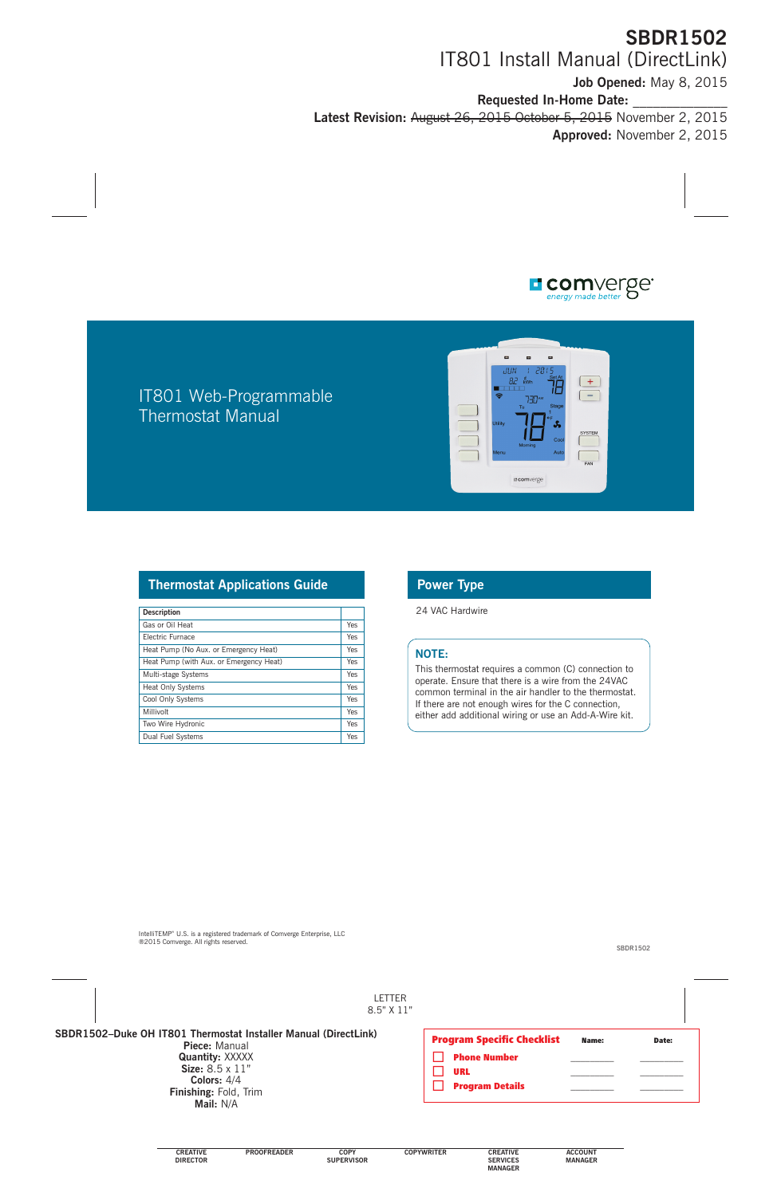

## IT801 Web-Programmable Thermostat Manual



#### **Thermostat Applications Guide Power Type**

| <b>Description</b>                      |     |
|-----------------------------------------|-----|
| Gas or Oil Heat                         | Yes |
| <b>Flectric Furnace</b>                 | Yes |
| Heat Pump (No Aux. or Emergency Heat)   | Yes |
| Heat Pump (with Aux. or Emergency Heat) | Yes |
| Multi-stage Systems                     | Yes |
| <b>Heat Only Systems</b>                | Yes |
| Cool Only Systems                       | Yes |
| Millivolt                               | Yes |
| Two Wire Hydronic                       | Yes |
| Dual Fuel Systems                       | Yes |

24 VAC Hardwire

#### **NOTE:**

This thermostat requires a common (C) connection to operate. Ensure that there is a wire from the 24VAC common terminal in the air handler to the thermostat. If there are not enough wires for the C connection, either add additional wiring or use an Add-A-Wire kit.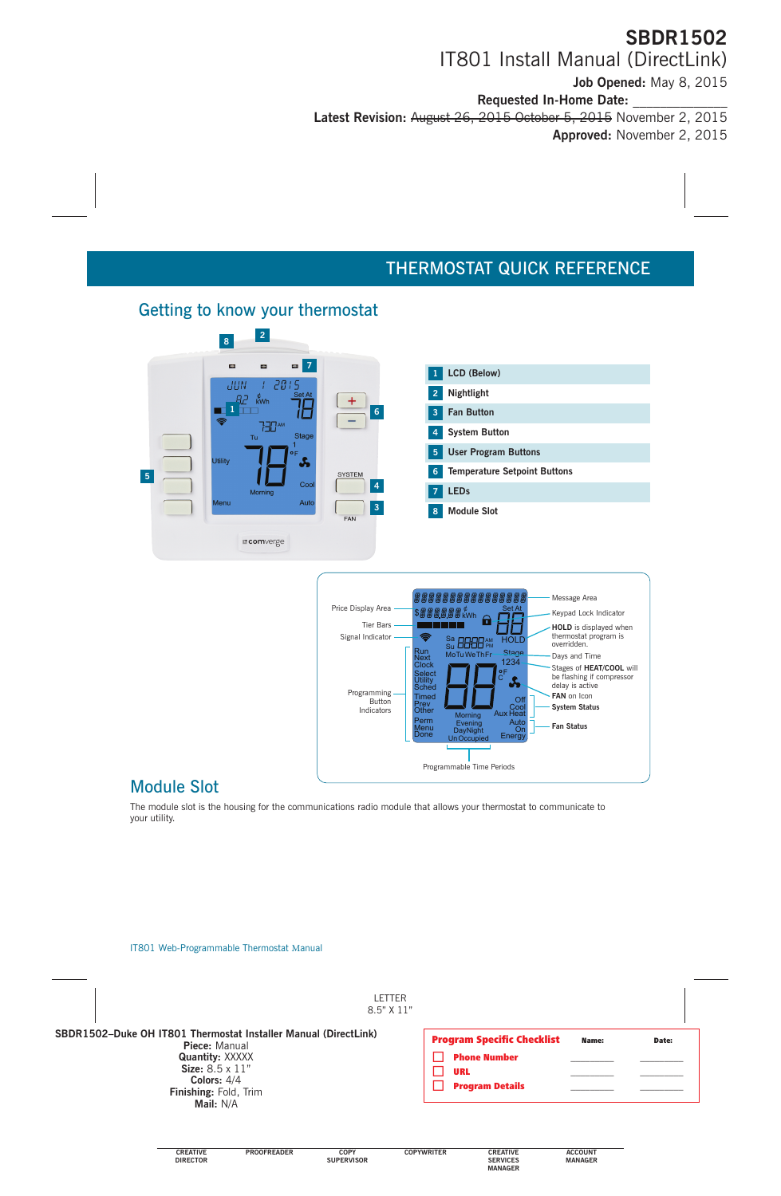# THERMOSTAT QUICK REFERENCE

### Getting to know your thermostat





### Module Slot

The module slot is the housing for the communications radio module that allows your thermostat to communicate to your utility.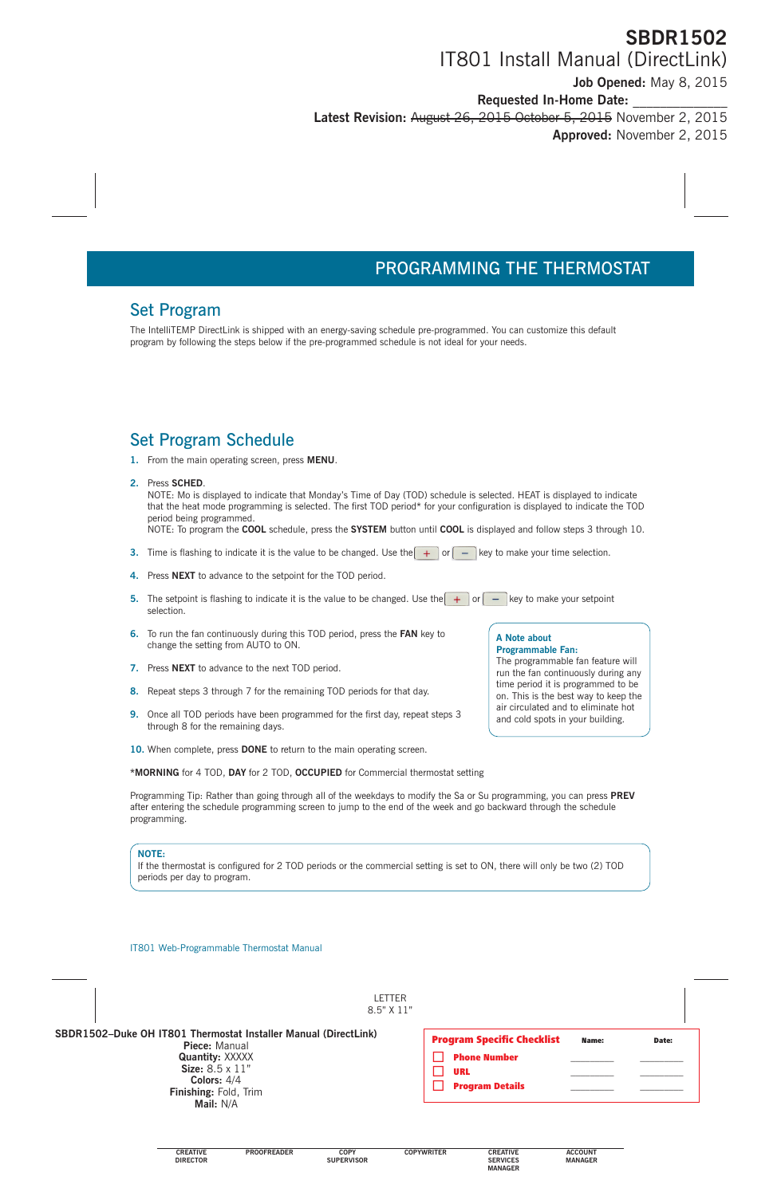## Set Program

The IntelliTEMP DirectLink is shipped with an energy-saving schedule pre-programmed. You can customize this default program by following the steps below if the pre-programmed schedule is not ideal for your needs.

## Set Program Schedule

**1.** From the main operating screen, press **MENU**.

#### **2.** Press **SCHED**.

NOTE: Mo is displayed to indicate that Monday's Time of Day (TOD) schedule is selected. HEAT is displayed to indicate that the heat mode programming is selected. The first TOD period\* for your configuration is displayed to indicate the TOD period being programmed.

NOTE: To program the **COOL** schedule, press the **SYSTEM** button until **COOL** is displayed and follow steps 3 through 10.

- **3.** Time is flashing to indicate it is the value to be changed. Use the  $\left| + \right|$  or  $\left| \right|$  key to make your time selection.
- **4.** Press **NEXT** to advance to the setpoint for the TOD period.
- **5.** The setpoint is flashing to indicate it is the value to be changed. Use the  $\left( + \right)$  or  $\left( \right)$  key to make your setpoint selection.
- **6.** To run the fan continuously during this TOD period, press the **FAN** key to change the setting from AUTO to ON.
- **7.** Press **NEXT** to advance to the next TOD period.
- **8.** Repeat steps 3 through 7 for the remaining TOD periods for that day.
- **9.** Once all TOD periods have been programmed for the first day, repeat steps 3 through 8 for the remaining days.
- **10.** When complete, press **DONE** to return to the main operating screen.

**\*MORNING** for 4 TOD, **DAY** for 2 TOD, **OCCUPIED** for Commercial thermostat setting

Programming Tip: Rather than going through all of the weekdays to modify the Sa or Su programming, you can press **PREV** after entering the schedule programming screen to jump to the end of the week and go backward through the schedule programming.

#### **NOTE:**

If the thermostat is configured for 2 TOD periods or the commercial setting is set to ON, there will only be two (2) TOD periods per day to program.

#### **A Note about Programmable Fan:**

The programmable fan feature will run the fan continuously during any time period it is programmed to be on. This is the best way to keep the air circulated and to eliminate hot and cold spots in your building.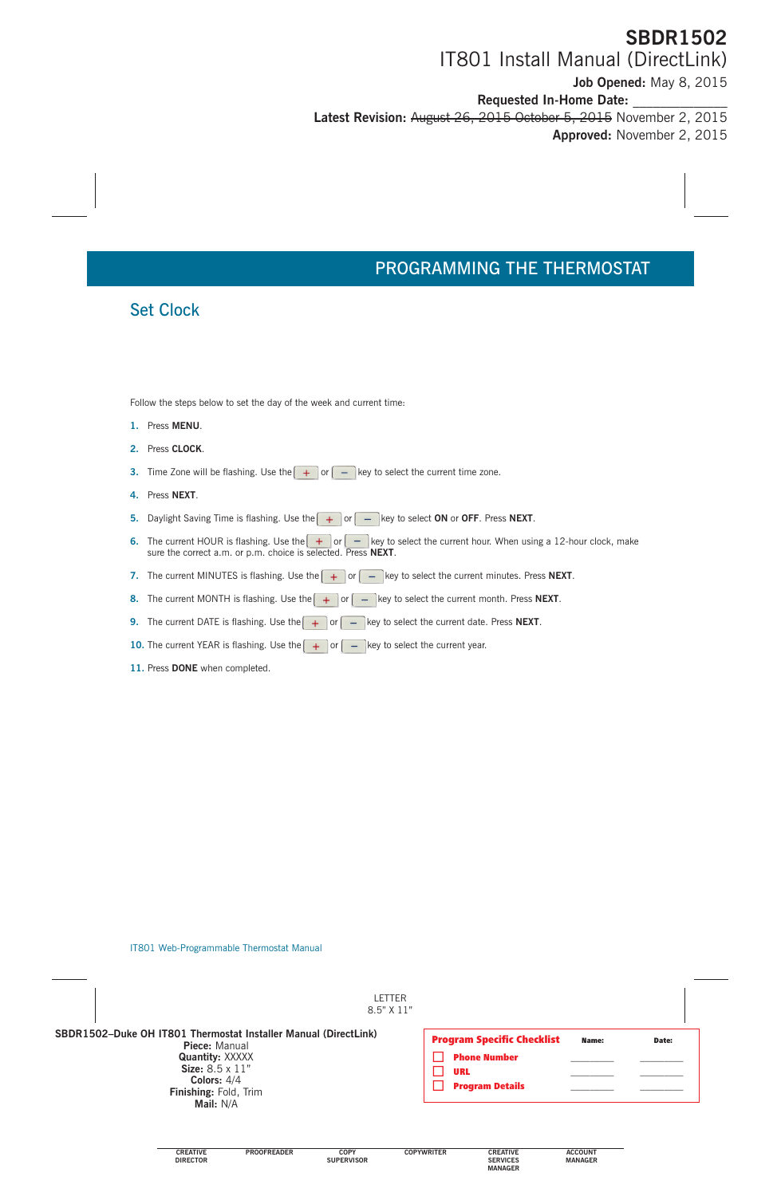# PROGRAMMING THE THERMOSTAT

### Set Clock

Follow the steps below to set the day of the week and current time:

- **1.** Press **MENU**.
- **2.** Press **CLOCK**.
- **3.** Time Zone will be flashing. Use the  $\left( \begin{array}{c} + \\ + \end{array} \right)$  or  $\left( \begin{array}{c} \\ \end{array} \right)$  key to select the current time zone.
- **4.** Press **NEXT**.
- **5.** Daylight Saving Time is flashing. Use the  $\leftarrow$  or  $\leftarrow$  key to select ON or OFF. Press NEXT.
- **6.** The current HOUR is flashing. Use the  $\boxed{+}$  or  $\boxed{-}$  key to select the current hour. When using a 12-hour clock, make sure the correct a.m. or p.m. choice is selected. Press **NEXT**.
- **7.** The current MINUTES is flashing. Use the  $\left| + \right|$  or  $\left| \right|$  key to select the current minutes. Press **NEXT**.
- **8.** The current MONTH is flashing. Use the  $\left( \begin{array}{c} + \\ + \end{array} \right)$  or  $\left( \begin{array}{c} \\ \end{array} \right)$  key to select the current month. Press **NEXT**.
- **9.** The current DATE is flashing. Use the  $\left( \begin{array}{c} + \\ + \end{array} \right)$  or  $\left( \begin{array}{c} \\ \end{array} \right)$  key to select the current date. Press **NEXT**.
- **10.** The current YEAR is flashing. Use the  $\left( + \right)$  or  $\left( \right)$  key to select the current year.
- **11.** Press **DONE** when completed.